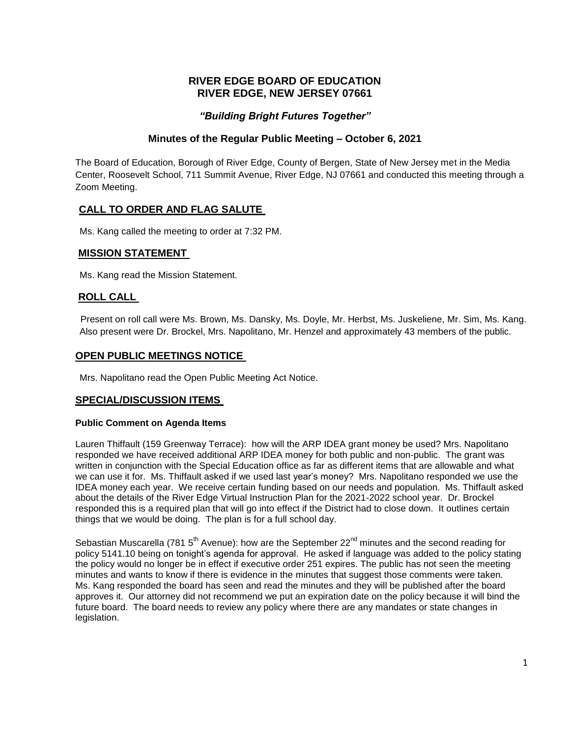# **RIVER EDGE BOARD OF EDUCATION RIVER EDGE, NEW JERSEY 07661**

# *"Building Bright Futures Together"*

## **Minutes of the Regular Public Meeting – October 6, 2021**

The Board of Education, Borough of River Edge, County of Bergen, State of New Jersey met in the Media Center, Roosevelt School, 711 Summit Avenue, River Edge, NJ 07661 and conducted this meeting through a Zoom Meeting.

# **CALL TO ORDER AND FLAG SALUTE**

Ms. Kang called the meeting to order at 7:32 PM.

## **MISSION STATEMENT**

Ms. Kang read the Mission Statement.

## **ROLL CALL**

Present on roll call were Ms. Brown, Ms. Dansky, Ms. Doyle, Mr. Herbst, Ms. Juskeliene, Mr. Sim, Ms. Kang. Also present were Dr. Brockel, Mrs. Napolitano, Mr. Henzel and approximately 43 members of the public.

## **OPEN PUBLIC MEETINGS NOTICE**

Mrs. Napolitano read the Open Public Meeting Act Notice.

### **SPECIAL/DISCUSSION ITEMS**

#### **Public Comment on Agenda Items**

Lauren Thiffault (159 Greenway Terrace): how will the ARP IDEA grant money be used? Mrs. Napolitano responded we have received additional ARP IDEA money for both public and non-public. The grant was written in conjunction with the Special Education office as far as different items that are allowable and what we can use it for. Ms. Thiffault asked if we used last year's money? Mrs. Napolitano responded we use the IDEA money each year. We receive certain funding based on our needs and population. Ms. Thiffault asked about the details of the River Edge Virtual Instruction Plan for the 2021-2022 school year. Dr. Brockel responded this is a required plan that will go into effect if the District had to close down. It outlines certain things that we would be doing. The plan is for a full school day.

Sebastian Muscarella (781 5<sup>th</sup> Avenue): how are the September 22<sup>nd</sup> minutes and the second reading for policy 5141.10 being on tonight's agenda for approval. He asked if language was added to the policy stating the policy would no longer be in effect if executive order 251 expires. The public has not seen the meeting minutes and wants to know if there is evidence in the minutes that suggest those comments were taken. Ms. Kang responded the board has seen and read the minutes and they will be published after the board approves it. Our attorney did not recommend we put an expiration date on the policy because it will bind the future board. The board needs to review any policy where there are any mandates or state changes in legislation.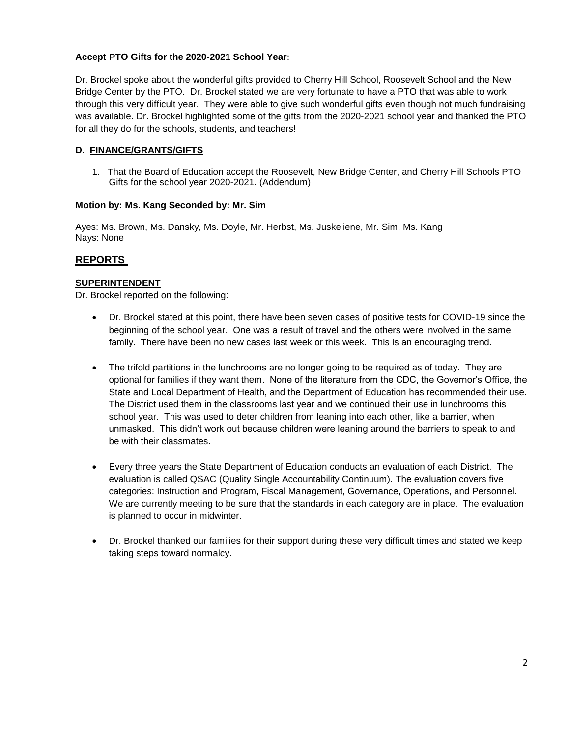## **Accept PTO Gifts for the 2020-2021 School Year**:

Dr. Brockel spoke about the wonderful gifts provided to Cherry Hill School, Roosevelt School and the New Bridge Center by the PTO. Dr. Brockel stated we are very fortunate to have a PTO that was able to work through this very difficult year. They were able to give such wonderful gifts even though not much fundraising was available. Dr. Brockel highlighted some of the gifts from the 2020-2021 school year and thanked the PTO for all they do for the schools, students, and teachers!

### **D. FINANCE/GRANTS/GIFTS**

1. That the Board of Education accept the Roosevelt, New Bridge Center, and Cherry Hill Schools PTO Gifts for the school year 2020-2021. (Addendum)

### **Motion by: Ms. Kang Seconded by: Mr. Sim**

Ayes: Ms. Brown, Ms. Dansky, Ms. Doyle, Mr. Herbst, Ms. Juskeliene, Mr. Sim, Ms. Kang Nays: None

## **REPORTS**

### **SUPERINTENDENT**

Dr. Brockel reported on the following:

- Dr. Brockel stated at this point, there have been seven cases of positive tests for COVID-19 since the beginning of the school year. One was a result of travel and the others were involved in the same family. There have been no new cases last week or this week. This is an encouraging trend.
- The trifold partitions in the lunchrooms are no longer going to be required as of today. They are optional for families if they want them. None of the literature from the CDC, the Governor's Office, the State and Local Department of Health, and the Department of Education has recommended their use. The District used them in the classrooms last year and we continued their use in lunchrooms this school year. This was used to deter children from leaning into each other, like a barrier, when unmasked. This didn't work out because children were leaning around the barriers to speak to and be with their classmates.
- Every three years the State Department of Education conducts an evaluation of each District. The evaluation is called QSAC (Quality Single Accountability Continuum). The evaluation covers five categories: Instruction and Program, Fiscal Management, Governance, Operations, and Personnel. We are currently meeting to be sure that the standards in each category are in place. The evaluation is planned to occur in midwinter.
- Dr. Brockel thanked our families for their support during these very difficult times and stated we keep taking steps toward normalcy.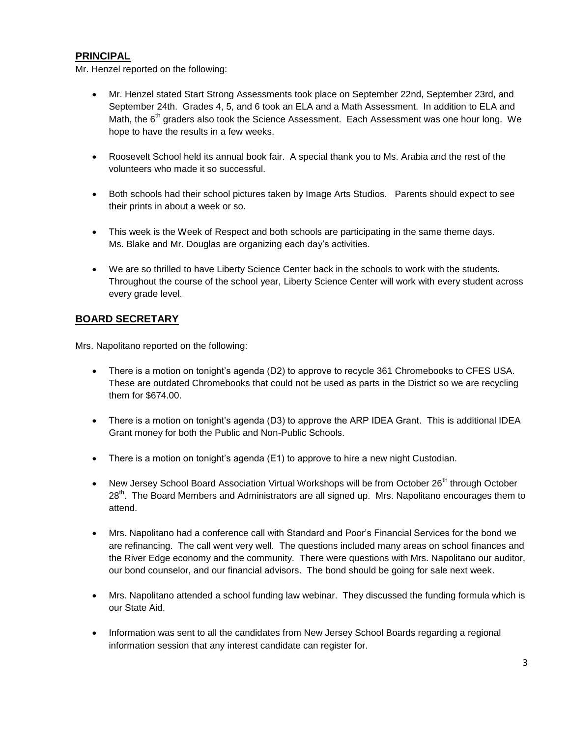# **PRINCIPAL**

Mr. Henzel reported on the following:

- Mr. Henzel stated Start Strong Assessments took place on September 22nd, September 23rd, and September 24th. Grades 4, 5, and 6 took an ELA and a Math Assessment. In addition to ELA and Math, the 6<sup>th</sup> graders also took the Science Assessment. Each Assessment was one hour long. We hope to have the results in a few weeks.
- Roosevelt School held its annual book fair. A special thank you to Ms. Arabia and the rest of the volunteers who made it so successful.
- Both schools had their school pictures taken by Image Arts Studios. Parents should expect to see their prints in about a week or so.
- This week is the Week of Respect and both schools are participating in the same theme days. Ms. Blake and Mr. Douglas are organizing each day's activities.
- We are so thrilled to have Liberty Science Center back in the schools to work with the students. Throughout the course of the school year, Liberty Science Center will work with every student across every grade level.

# **BOARD SECRETARY**

Mrs. Napolitano reported on the following:

- There is a motion on tonight's agenda (D2) to approve to recycle 361 Chromebooks to CFES USA. These are outdated Chromebooks that could not be used as parts in the District so we are recycling them for \$674.00.
- There is a motion on tonight's agenda (D3) to approve the ARP IDEA Grant. This is additional IDEA Grant money for both the Public and Non-Public Schools.
- There is a motion on tonight's agenda (E1) to approve to hire a new night Custodian.
- New Jersey School Board Association Virtual Workshops will be from October 26<sup>th</sup> through October 28<sup>th</sup>. The Board Members and Administrators are all signed up. Mrs. Napolitano encourages them to attend.
- Mrs. Napolitano had a conference call with Standard and Poor's Financial Services for the bond we are refinancing. The call went very well. The questions included many areas on school finances and the River Edge economy and the community. There were questions with Mrs. Napolitano our auditor, our bond counselor, and our financial advisors. The bond should be going for sale next week.
- Mrs. Napolitano attended a school funding law webinar. They discussed the funding formula which is our State Aid.
- Information was sent to all the candidates from New Jersey School Boards regarding a regional information session that any interest candidate can register for.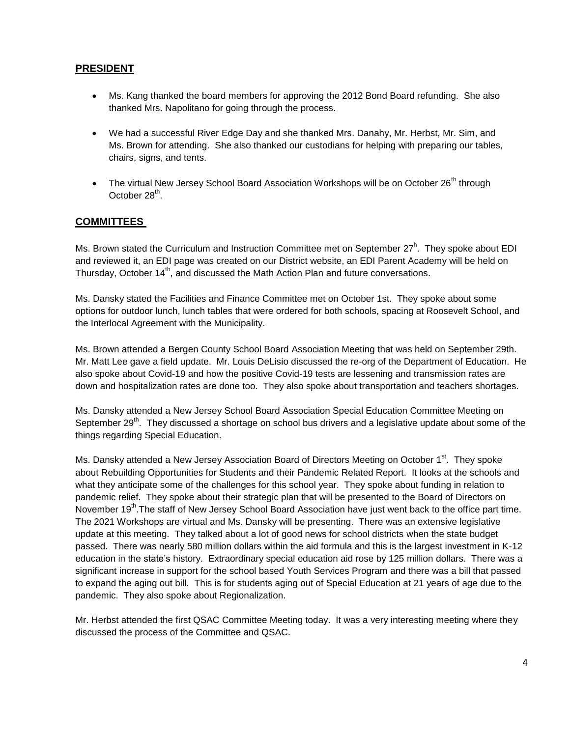# **PRESIDENT**

- Ms. Kang thanked the board members for approving the 2012 Bond Board refunding. She also thanked Mrs. Napolitano for going through the process.
- We had a successful River Edge Day and she thanked Mrs. Danahy, Mr. Herbst, Mr. Sim, and Ms. Brown for attending. She also thanked our custodians for helping with preparing our tables, chairs, signs, and tents.
- The virtual New Jersey School Board Association Workshops will be on October  $26<sup>th</sup>$  through October 28<sup>th</sup>.

# **COMMITTEES**

Ms. Brown stated the Curriculum and Instruction Committee met on September 27<sup>h</sup>. They spoke about EDI and reviewed it, an EDI page was created on our District website, an EDI Parent Academy will be held on Thursday, October 14<sup>th</sup>, and discussed the Math Action Plan and future conversations.

Ms. Dansky stated the Facilities and Finance Committee met on October 1st. They spoke about some options for outdoor lunch, lunch tables that were ordered for both schools, spacing at Roosevelt School, and the Interlocal Agreement with the Municipality.

Ms. Brown attended a Bergen County School Board Association Meeting that was held on September 29th. Mr. Matt Lee gave a field update. Mr. Louis DeLisio discussed the re-org of the Department of Education. He also spoke about Covid-19 and how the positive Covid-19 tests are lessening and transmission rates are down and hospitalization rates are done too. They also spoke about transportation and teachers shortages.

Ms. Dansky attended a New Jersey School Board Association Special Education Committee Meeting on September 29<sup>th</sup>. They discussed a shortage on school bus drivers and a legislative update about some of the things regarding Special Education.

Ms. Dansky attended a New Jersey Association Board of Directors Meeting on October 1<sup>st</sup>. They spoke about Rebuilding Opportunities for Students and their Pandemic Related Report. It looks at the schools and what they anticipate some of the challenges for this school year. They spoke about funding in relation to pandemic relief. They spoke about their strategic plan that will be presented to the Board of Directors on November 19<sup>th</sup>.The staff of New Jersey School Board Association have just went back to the office part time. The 2021 Workshops are virtual and Ms. Dansky will be presenting. There was an extensive legislative update at this meeting. They talked about a lot of good news for school districts when the state budget passed. There was nearly 580 million dollars within the aid formula and this is the largest investment in K-12 education in the state's history. Extraordinary special education aid rose by 125 million dollars. There was a significant increase in support for the school based Youth Services Program and there was a bill that passed to expand the aging out bill. This is for students aging out of Special Education at 21 years of age due to the pandemic. They also spoke about Regionalization.

Mr. Herbst attended the first QSAC Committee Meeting today. It was a very interesting meeting where they discussed the process of the Committee and QSAC.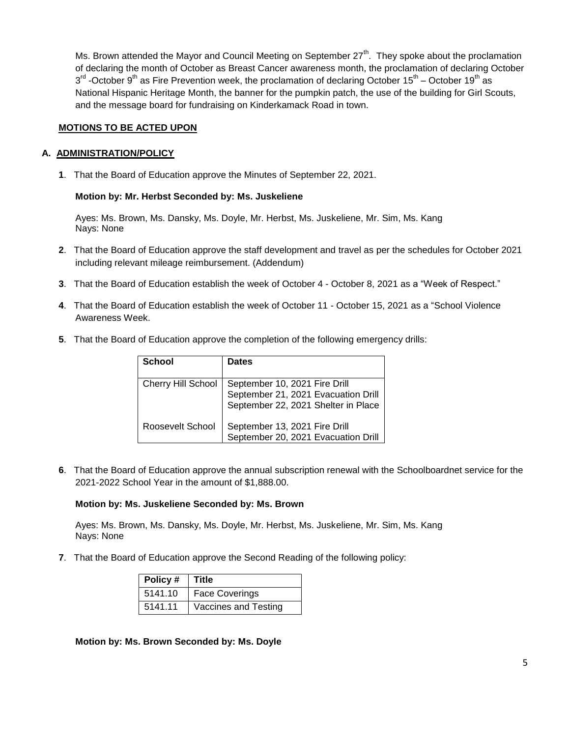Ms. Brown attended the Mayor and Council Meeting on September  $27<sup>th</sup>$ . They spoke about the proclamation of declaring the month of October as Breast Cancer awareness month, the proclamation of declaring October 3<sup>rd</sup> -October 9<sup>th</sup> as Fire Prevention week, the proclamation of declaring October 15<sup>th</sup> – October 19<sup>th</sup> as National Hispanic Heritage Month, the banner for the pumpkin patch, the use of the building for Girl Scouts, and the message board for fundraising on Kinderkamack Road in town.

### **MOTIONS TO BE ACTED UPON**

### **A. ADMINISTRATION/POLICY**

**1**. That the Board of Education approve the Minutes of September 22, 2021.

### **Motion by: Mr. Herbst Seconded by: Ms. Juskeliene**

Ayes: Ms. Brown, Ms. Dansky, Ms. Doyle, Mr. Herbst, Ms. Juskeliene, Mr. Sim, Ms. Kang Nays: None

- **2**. That the Board of Education approve the staff development and travel as per the schedules for October 2021 including relevant mileage reimbursement. (Addendum)
- **3**. That the Board of Education establish the week of October 4 October 8, 2021 as a "Week of Respect."
- **4**. That the Board of Education establish the week of October 11 October 15, 2021 as a "School Violence Awareness Week.
- **5**. That the Board of Education approve the completion of the following emergency drills:

| <b>School</b>             | <b>Dates</b>                                                                                                |
|---------------------------|-------------------------------------------------------------------------------------------------------------|
| <b>Cherry Hill School</b> | September 10, 2021 Fire Drill<br>September 21, 2021 Evacuation Drill<br>September 22, 2021 Shelter in Place |
| Roosevelt School          | September 13, 2021 Fire Drill<br>September 20, 2021 Evacuation Drill                                        |

**6**. That the Board of Education approve the annual subscription renewal with the Schoolboardnet service for the 2021-2022 School Year in the amount of \$1,888.00.

### **Motion by: Ms. Juskeliene Seconded by: Ms. Brown**

Ayes: Ms. Brown, Ms. Dansky, Ms. Doyle, Mr. Herbst, Ms. Juskeliene, Mr. Sim, Ms. Kang Nays: None

**7**. That the Board of Education approve the Second Reading of the following policy:

| Policy# | <b>Title</b>          |
|---------|-----------------------|
| 5141.10 | <b>Face Coverings</b> |
| 5141.11 | Vaccines and Testing  |

**Motion by: Ms. Brown Seconded by: Ms. Doyle**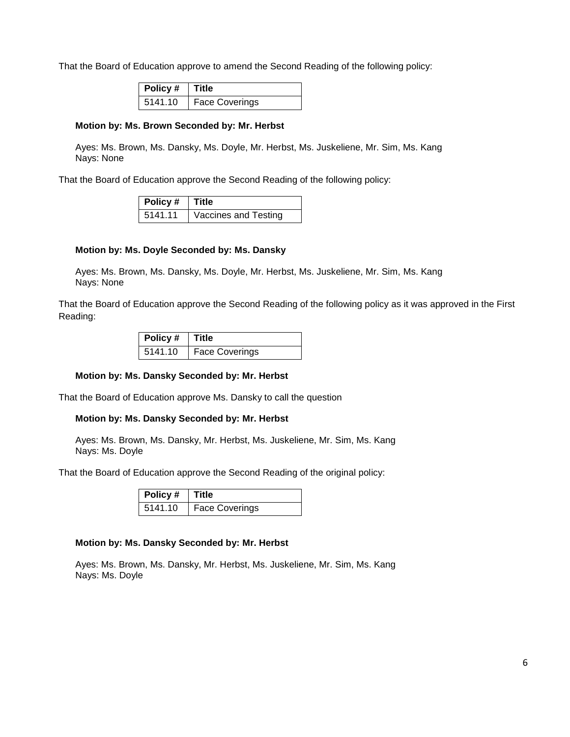That the Board of Education approve to amend the Second Reading of the following policy:

| $\overline{\phantom{a}}$ Policy # | <b>Title</b>          |
|-----------------------------------|-----------------------|
| 5141.10                           | <b>Face Coverings</b> |

#### **Motion by: Ms. Brown Seconded by: Mr. Herbst**

Ayes: Ms. Brown, Ms. Dansky, Ms. Doyle, Mr. Herbst, Ms. Juskeliene, Mr. Sim, Ms. Kang Nays: None

That the Board of Education approve the Second Reading of the following policy:

| <b>Policy # Title</b> |                      |
|-----------------------|----------------------|
| 5141.11               | Vaccines and Testing |

#### **Motion by: Ms. Doyle Seconded by: Ms. Dansky**

Ayes: Ms. Brown, Ms. Dansky, Ms. Doyle, Mr. Herbst, Ms. Juskeliene, Mr. Sim, Ms. Kang Nays: None

That the Board of Education approve the Second Reading of the following policy as it was approved in the First Reading:

| Policy $#$ Title |                       |
|------------------|-----------------------|
| 5141.10          | <b>Face Coverings</b> |

#### **Motion by: Ms. Dansky Seconded by: Mr. Herbst**

That the Board of Education approve Ms. Dansky to call the question

#### **Motion by: Ms. Dansky Seconded by: Mr. Herbst**

Ayes: Ms. Brown, Ms. Dansky, Mr. Herbst, Ms. Juskeliene, Mr. Sim, Ms. Kang Nays: Ms. Doyle

That the Board of Education approve the Second Reading of the original policy:

| Policy #   Title |                |
|------------------|----------------|
| 5141.10          | Face Coverings |

#### **Motion by: Ms. Dansky Seconded by: Mr. Herbst**

Ayes: Ms. Brown, Ms. Dansky, Mr. Herbst, Ms. Juskeliene, Mr. Sim, Ms. Kang Nays: Ms. Doyle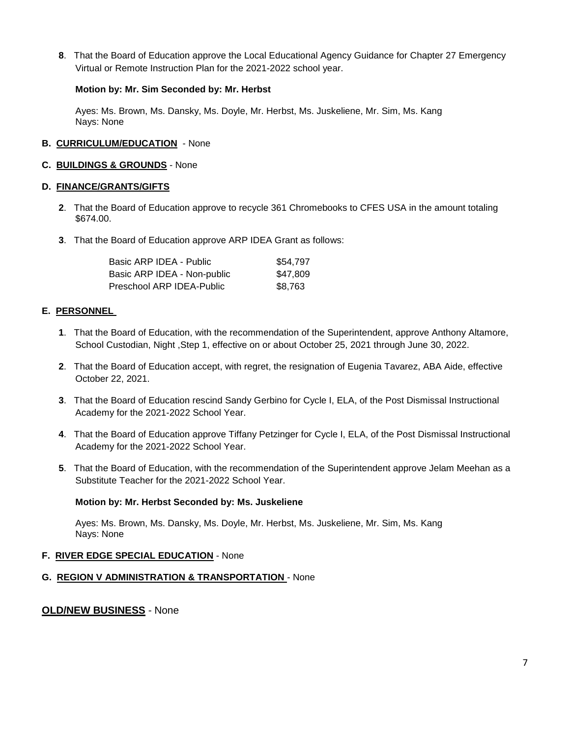**8**. That the Board of Education approve the Local Educational Agency Guidance for Chapter 27 Emergency Virtual or Remote Instruction Plan for the 2021-2022 school year.

### **Motion by: Mr. Sim Seconded by: Mr. Herbst**

Ayes: Ms. Brown, Ms. Dansky, Ms. Doyle, Mr. Herbst, Ms. Juskeliene, Mr. Sim, Ms. Kang Nays: None

### **B. CURRICULUM/EDUCATION** - None

#### **C. BUILDINGS & GROUNDS** - None

### **D. FINANCE/GRANTS/GIFTS**

- **2**. That the Board of Education approve to recycle 361 Chromebooks to CFES USA in the amount totaling \$674.00.
- **3**. That the Board of Education approve ARP IDEA Grant as follows:

| Basic ARP IDEA - Public     | \$54.797 |
|-----------------------------|----------|
| Basic ARP IDEA - Non-public | \$47.809 |
| Preschool ARP IDEA-Public   | \$8.763  |

### **E. PERSONNEL**

- **1**. That the Board of Education, with the recommendation of the Superintendent, approve Anthony Altamore, School Custodian, Night ,Step 1, effective on or about October 25, 2021 through June 30, 2022.
- **2**. That the Board of Education accept, with regret, the resignation of Eugenia Tavarez, ABA Aide, effective October 22, 2021.
- **3**. That the Board of Education rescind Sandy Gerbino for Cycle I, ELA, of the Post Dismissal Instructional Academy for the 2021-2022 School Year.
- **4**. That the Board of Education approve Tiffany Petzinger for Cycle I, ELA, of the Post Dismissal Instructional Academy for the 2021-2022 School Year.
- **5**. That the Board of Education, with the recommendation of the Superintendent approve Jelam Meehan as a Substitute Teacher for the 2021-2022 School Year.

### **Motion by: Mr. Herbst Seconded by: Ms. Juskeliene**

Ayes: Ms. Brown, Ms. Dansky, Ms. Doyle, Mr. Herbst, Ms. Juskeliene, Mr. Sim, Ms. Kang Nays: None

#### **F. RIVER EDGE SPECIAL EDUCATION** - None

**G. REGION V ADMINISTRATION & TRANSPORTATION** - None

## **OLD/NEW BUSINESS** - None